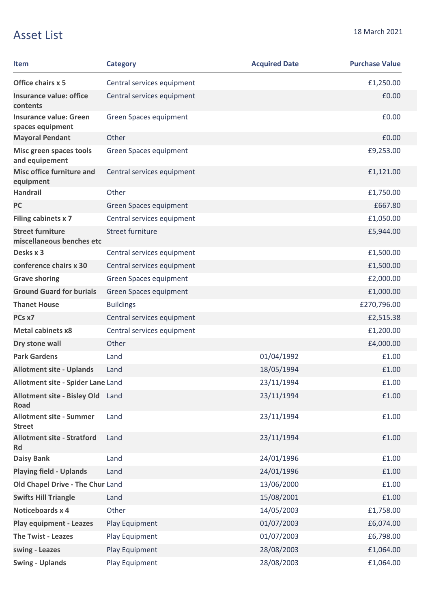## Asset List 18 March 2021

| <b>Item</b>                                          | <b>Category</b>            | <b>Acquired Date</b> | <b>Purchase Value</b> |
|------------------------------------------------------|----------------------------|----------------------|-----------------------|
| Office chairs x 5                                    | Central services equipment |                      | £1,250.00             |
| <b>Insurance value: office</b><br>contents           | Central services equipment |                      | £0.00                 |
| <b>Insurance value: Green</b><br>spaces equipment    | Green Spaces equipment     |                      | £0.00                 |
| <b>Mayoral Pendant</b>                               | Other                      |                      | £0.00                 |
| Misc green spaces tools<br>and equipement            | Green Spaces equipment     |                      | £9,253.00             |
| <b>Misc office furniture and</b><br>equipment        | Central services equipment |                      | £1,121.00             |
| <b>Handrail</b>                                      | Other                      |                      | £1,750.00             |
| <b>PC</b>                                            | Green Spaces equipment     |                      | £667.80               |
| Filing cabinets x 7                                  | Central services equipment |                      | £1,050.00             |
| <b>Street furniture</b><br>miscellaneous benches etc | Street furniture           |                      | £5,944.00             |
| Desks x 3                                            | Central services equipment |                      | £1,500.00             |
| conference chairs x 30                               | Central services equipment |                      | £1,500.00             |
| <b>Grave shoring</b>                                 | Green Spaces equipment     |                      | £2,000.00             |
| <b>Ground Guard for burials</b>                      | Green Spaces equipment     |                      | £1,000.00             |
| <b>Thanet House</b>                                  | <b>Buildings</b>           |                      | £270,796.00           |
| PCs x7                                               | Central services equipment |                      | £2,515.38             |
| <b>Metal cabinets x8</b>                             | Central services equipment |                      | £1,200.00             |
| Dry stone wall                                       | Other                      |                      | £4,000.00             |
| <b>Park Gardens</b>                                  | Land                       | 01/04/1992           | £1.00                 |
| <b>Allotment site - Uplands</b>                      | Land                       | 18/05/1994           | £1.00                 |
| Allotment site - Spider Lane Land                    |                            | 23/11/1994           | £1.00                 |
| <b>Allotment site - Bisley Old</b><br><b>Road</b>    | Land                       | 23/11/1994           | £1.00                 |
| <b>Allotment site - Summer</b><br><b>Street</b>      | Land                       | 23/11/1994           | £1.00                 |
| <b>Allotment site - Stratford</b><br><b>Rd</b>       | Land                       | 23/11/1994           | £1.00                 |
| <b>Daisy Bank</b>                                    | Land                       | 24/01/1996           | £1.00                 |
| <b>Playing field - Uplands</b>                       | Land                       | 24/01/1996           | £1.00                 |
| Old Chapel Drive - The Chur Land                     |                            | 13/06/2000           | £1.00                 |
| <b>Swifts Hill Triangle</b>                          | Land                       | 15/08/2001           | £1.00                 |
| Noticeboards x 4                                     | Other                      | 14/05/2003           | £1,758.00             |
| <b>Play equipment - Leazes</b>                       | Play Equipment             | 01/07/2003           | £6,074.00             |
| <b>The Twist - Leazes</b>                            | Play Equipment             | 01/07/2003           | £6,798.00             |
| swing - Leazes                                       | Play Equipment             | 28/08/2003           | £1,064.00             |
| <b>Swing - Uplands</b>                               | Play Equipment             | 28/08/2003           | £1,064.00             |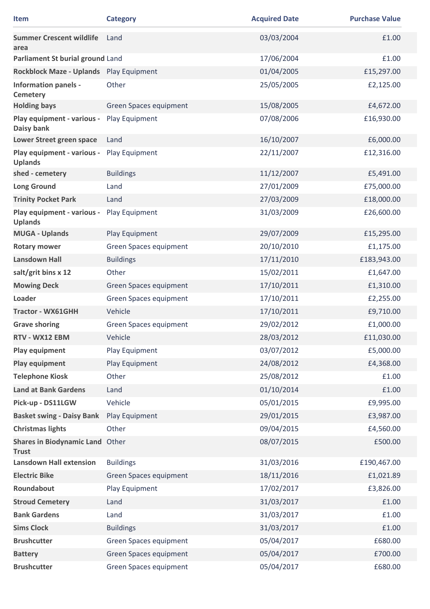| Item                                            | <b>Category</b>               | <b>Acquired Date</b> | <b>Purchase Value</b> |
|-------------------------------------------------|-------------------------------|----------------------|-----------------------|
| <b>Summer Crescent wildlife</b><br>area         | Land                          | 03/03/2004           | £1.00                 |
| Parliament St burial ground Land                |                               | 17/06/2004           | £1.00                 |
| Rockblock Maze - Uplands Play Equipment         |                               | 01/04/2005           | £15,297.00            |
| <b>Information panels -</b><br><b>Cemetery</b>  | Other                         | 25/05/2005           | £2,125.00             |
| <b>Holding bays</b>                             | Green Spaces equipment        | 15/08/2005           | £4,672.00             |
| Play equipment - various -<br>Daisy bank        | Play Equipment                | 07/08/2006           | £16,930.00            |
| Lower Street green space                        | Land                          | 16/10/2007           | £6,000.00             |
| Play equipment - various -<br><b>Uplands</b>    | Play Equipment                | 22/11/2007           | £12,316.00            |
| shed - cemetery                                 | <b>Buildings</b>              | 11/12/2007           | £5,491.00             |
| <b>Long Ground</b>                              | Land                          | 27/01/2009           | £75,000.00            |
| <b>Trinity Pocket Park</b>                      | Land                          | 27/03/2009           | £18,000.00            |
| Play equipment - various -<br><b>Uplands</b>    | Play Equipment                | 31/03/2009           | £26,600.00            |
| <b>MUGA - Uplands</b>                           | Play Equipment                | 29/07/2009           | £15,295.00            |
| <b>Rotary mower</b>                             | Green Spaces equipment        | 20/10/2010           | £1,175.00             |
| <b>Lansdown Hall</b>                            | <b>Buildings</b>              | 17/11/2010           | £183,943.00           |
| salt/grit bins x 12                             | Other                         | 15/02/2011           | £1,647.00             |
| <b>Mowing Deck</b>                              | <b>Green Spaces equipment</b> | 17/10/2011           | £1,310.00             |
| Loader                                          | Green Spaces equipment        | 17/10/2011           | £2,255.00             |
| <b>Tractor - WX61GHH</b>                        | Vehicle                       | 17/10/2011           | £9,710.00             |
| <b>Grave shoring</b>                            | Green Spaces equipment        | 29/02/2012           | £1,000.00             |
| RTV - WX12 EBM                                  | Vehicle                       | 28/03/2012           | £11,030.00            |
| Play equipment                                  | Play Equipment                | 03/07/2012           | £5,000.00             |
| Play equipment                                  | Play Equipment                | 24/08/2012           | £4,368.00             |
| <b>Telephone Kiosk</b>                          | Other                         | 25/08/2012           | £1.00                 |
| <b>Land at Bank Gardens</b>                     | Land                          | 01/10/2014           | £1.00                 |
| Pick-up - DS11LGW                               | Vehicle                       | 05/01/2015           | £9,995.00             |
| <b>Basket swing - Daisy Bank</b>                | Play Equipment                | 29/01/2015           | £3,987.00             |
| <b>Christmas lights</b>                         | Other                         | 09/04/2015           | £4,560.00             |
| Shares in Biodynamic Land Other<br><b>Trust</b> |                               | 08/07/2015           | £500.00               |
| <b>Lansdown Hall extension</b>                  | <b>Buildings</b>              | 31/03/2016           | £190,467.00           |
| <b>Electric Bike</b>                            | Green Spaces equipment        | 18/11/2016           | £1,021.89             |
| Roundabout                                      | Play Equipment                | 17/02/2017           | £3,826.00             |
| <b>Stroud Cemetery</b>                          | Land                          | 31/03/2017           | £1.00                 |
| <b>Bank Gardens</b>                             | Land                          | 31/03/2017           | £1.00                 |
| <b>Sims Clock</b>                               | <b>Buildings</b>              | 31/03/2017           | £1.00                 |
| <b>Brushcutter</b>                              | Green Spaces equipment        | 05/04/2017           | £680.00               |
| <b>Battery</b>                                  | Green Spaces equipment        | 05/04/2017           | £700.00               |
| <b>Brushcutter</b>                              | Green Spaces equipment        | 05/04/2017           | £680.00               |